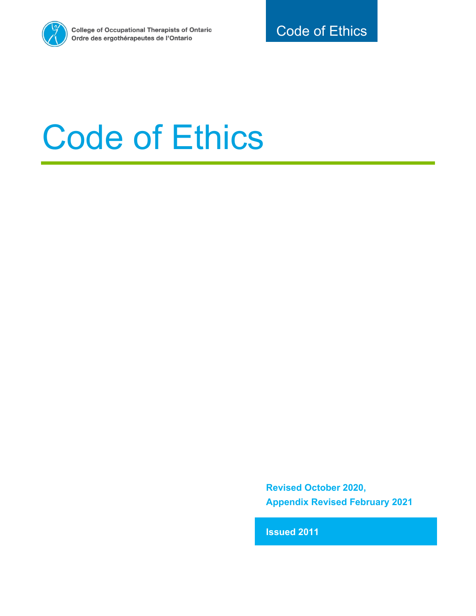

# Code of Ethics

**Revised October 2020, Appendix Revised February 2021**

**Issued 2011**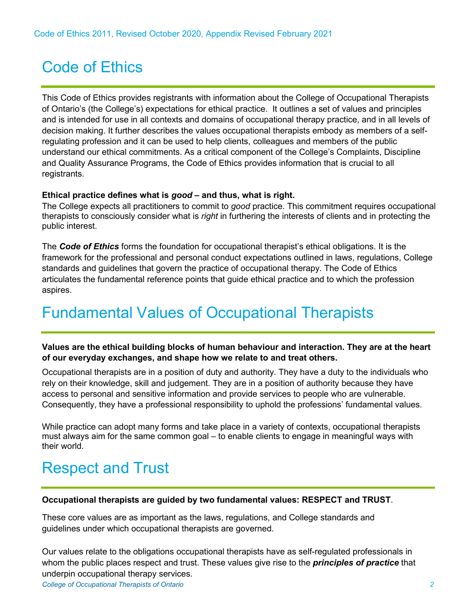## Code of Ethics

This Code of Ethics provides registrants with information about the College of Occupational Therapists of Ontario's (the College's) expectations for ethical practice. It outlines a set of values and principles and is intended for use in all contexts and domains of occupational therapy practice, and in all levels of decision making. It further describes the values occupational therapists embody as members of a selfregulating profession and it can be used to help clients, colleagues and members of the public understand our ethical commitments. As a critical component of the College's Complaints, Discipline and Quality Assurance Programs, the Code of Ethics provides information that is crucial to all registrants.

#### **Ethical practice defines what is** *good* **– and thus, what is right.**

The College expects all practitioners to commit to *good* practice. This commitment requires occupational therapists to consciously consider what is *right* in furthering the interests of clients and in protecting the public interest.

The *Code of Ethics* forms the foundation for occupational therapist's ethical obligations. It is the framework for the professional and personal conduct expectations outlined in laws, regulations, College standards and guidelines that govern the practice of occupational therapy. The Code of Ethics articulates the fundamental reference points that guide ethical practice and to which the profession aspires.

## Fundamental Values of Occupational Therapists

#### **Values are the ethical building blocks of human behaviour and interaction. They are at the heart of our everyday exchanges, and shape how we relate to and treat others.**

Occupational therapists are in a position of duty and authority. They have a duty to the individuals who rely on their knowledge, skill and judgement. They are in a position of authority because they have access to personal and sensitive information and provide services to people who are vulnerable. Consequently, they have a professional responsibility to uphold the professions' fundamental values.

While practice can adopt many forms and take place in a variety of contexts, occupational therapists must always aim for the same common goal – to enable clients to engage in meaningful ways with their world.

## Respect and Trust

#### **Occupational therapists are guided by two fundamental values: RESPECT and TRUST**.

These core values are as important as the laws, regulations, and College standards and guidelines under which occupational therapists are governed.

Our values relate to the obligations occupational therapists have as self-regulated professionals in whom the public places respect and trust. These values give rise to the *principles of practice* that underpin occupational therapy services.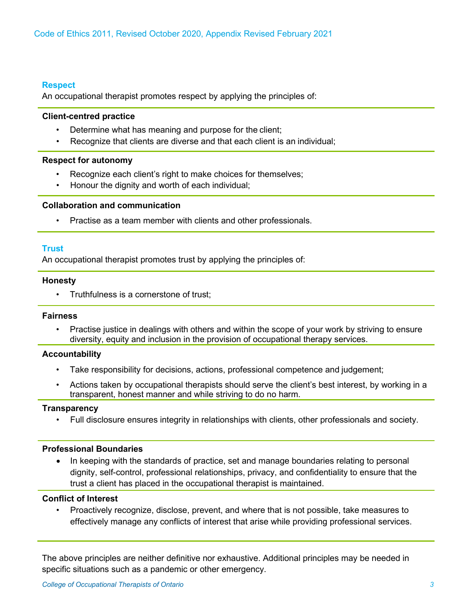#### **Respect**

An occupational therapist promotes respect by applying the principles of:

#### **Client-centred practice**

- Determine what has meaning and purpose for the client;
- Recognize that clients are diverse and that each client is an individual;

#### **Respect for autonomy**

- Recognize each client's right to make choices for themselves;
- Honour the dignity and worth of each individual;

#### **Collaboration and communication**

• Practise as a team member with clients and other professionals.

#### **Trust**

An occupational therapist promotes trust by applying the principles of:

#### **Honesty**

• Truthfulness is a cornerstone of trust;

#### **Fairness**

• Practise justice in dealings with others and within the scope of your work by striving to ensure diversity, equity and inclusion in the provision of occupational therapy services.

#### **Accountability**

- Take responsibility for decisions, actions, professional competence and judgement;
- Actions taken by occupational therapists should serve the client's best interest, by working in a transparent, honest manner and while striving to do no harm.

#### **Transparency**

• Full disclosure ensures integrity in relationships with clients, other professionals and society.

#### **Professional Boundaries**

• In keeping with the standards of practice, set and manage boundaries relating to personal dignity, self-control, professional relationships, privacy, and confidentiality to ensure that the trust a client has placed in the occupational therapist is maintained.

#### **Conflict of Interest**

• Proactively recognize, disclose, prevent, and where that is not possible, take measures to effectively manage any conflicts of interest that arise while providing professional services.

The above principles are neither definitive nor exhaustive. Additional principles may be needed in specific situations such as a pandemic or other emergency.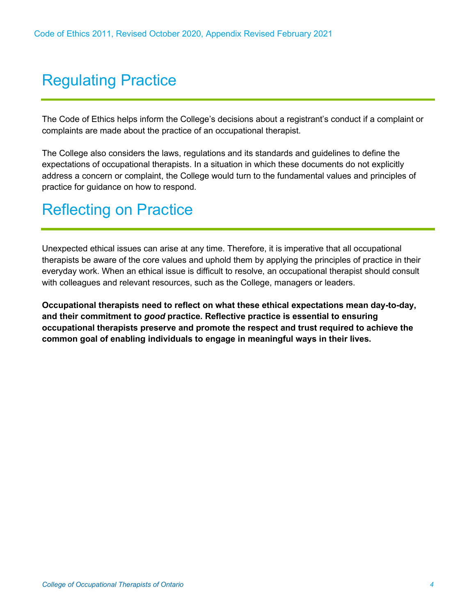## Regulating Practice

The Code of Ethics helps inform the College's decisions about a registrant's conduct if a complaint or complaints are made about the practice of an occupational therapist.

The College also considers the laws, regulations and its standards and guidelines to define the expectations of occupational therapists. In a situation in which these documents do not explicitly address a concern or complaint, the College would turn to the fundamental values and principles of practice for guidance on how to respond.

## Reflecting on Practice

Unexpected ethical issues can arise at any time. Therefore, it is imperative that all occupational therapists be aware of the core values and uphold them by applying the principles of practice in their everyday work. When an ethical issue is difficult to resolve, an occupational therapist should consult with colleagues and relevant resources, such as the College, managers or leaders.

**Occupational therapists need to reflect on what these ethical expectations mean day-to-day, and their commitment to** *good* **practice. Reflective practice is essential to ensuring occupational therapists preserve and promote the respect and trust required to achieve the common goal of enabling individuals to engage in meaningful ways in their lives.**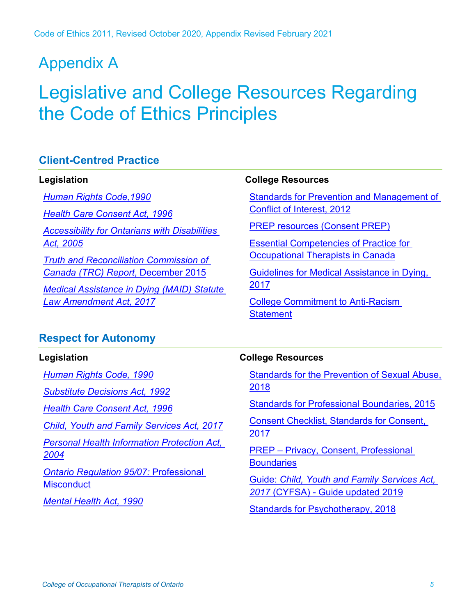## Appendix A

## Legislative and College Resources Regarding the Code of Ethics Principles

#### **Client-Centred Practice**

#### **Legislation**

*[Human Rights Code,1990](https://www.ontario.ca/laws/statute/90h19) [Health Care Consent Act, 1996](https://www.ontario.ca/laws/statute/96h02) [Accessibility for Ontarians with Disabilities](https://www.ontario.ca/laws/statute/05a11)  [Act, 2005](https://www.ontario.ca/laws/statute/05a11) [Truth and Reconciliation Commission of](http://www.trc.ca/about-us/trc-findings.html)  [Canada \(TRC\) Report](http://www.trc.ca/about-us/trc-findings.html)*, December 2015 *[Medical Assistance in Dying \(MAID\) Statute](https://www.ontario.ca/laws/statute/s17007)  [Law Amendment Act, 2017](https://www.ontario.ca/laws/statute/s17007)*

#### **College Resources**

[Standards for Prevention and Management of](https://www.coto.org/resources/standards-for-prevention-and-management-of-conflict-of-interest)  [Conflict of Interest, 2012](https://www.coto.org/resources/standards-for-prevention-and-management-of-conflict-of-interest)

[PREP resources \(Consent PREP\)](https://www.coto.org/docs/default-source/default-document-library/are-you-prep)

[Essential Competencies of Practice for](https://www.coto.org/docs/default-source/essential-competencies/3rd-essential-competencies_ii_may-2011.pdf?sfvrsn=2)  [Occupational Therapists in Canada](https://www.coto.org/docs/default-source/essential-competencies/3rd-essential-competencies_ii_may-2011.pdf?sfvrsn=2)

[Guidelines for Medical Assistance in Dying,](https://www.coto.org/resources/guidelines-for-medical-assistance-in-dying-2017)  [2017](https://www.coto.org/resources/guidelines-for-medical-assistance-in-dying-2017)

[College Commitment to Anti-Racism](https://www.coto.org/news/college-commitment-to-anti-racism)  **[Statement](https://www.coto.org/news/college-commitment-to-anti-racism)** 

#### **Respect for Autonomy**

#### **Legislation**

*[Human Rights Code, 1990](https://www.ontario.ca/laws/statute/90h19)*

*[Substitute Decisions Act, 1992](https://www.ontario.ca/laws/statute/92s30)*

*[Health Care Consent Act, 1996](https://www.ontario.ca/laws/statute/96h02)*

*[Child, Youth and Family Services Act, 2017](https://www.ontario.ca/laws/statute/17c14)*

*[Personal Health Information Protection Act,](https://www.ontario.ca/laws/statute/04p03)  [2004](https://www.ontario.ca/laws/statute/04p03)*

*[Ontario Regulation 95/07:](https://www.ontario.ca/laws/regulation/070095)* Professional **[Misconduct](https://www.ontario.ca/laws/regulation/070095)** 

*[Mental Health Act, 1990](https://www.ontario.ca/laws/statute/90m07)*

#### **College Resources**

[Standards for the Prevention of Sexual Abuse,](https://www.coto.org/resources/standards-for-the-prevention-of-sexual-abuse2018)  [2018](https://www.coto.org/resources/standards-for-the-prevention-of-sexual-abuse2018)

[Standards for Professional Boundaries, 2015](https://www.coto.org/resources/standards-for-professional-boundaries)

[Consent Checklist, Standards for Consent,](https://www.coto.org/resources/details/standards-for-consent-2017)  [2017](https://www.coto.org/resources/details/standards-for-consent-2017)

PREP – [Privacy, Consent, Professional](https://www.coto.org/docs/default-source/prep-modules/prep-module---professional-boundaries-and-the-prevention-of-sexual-abuse-2018.pdf?sfvrsn=abc9d26f_2)  **[Boundaries](https://www.coto.org/docs/default-source/prep-modules/prep-module---professional-boundaries-and-the-prevention-of-sexual-abuse-2018.pdf?sfvrsn=abc9d26f_2)** 

Guide: *[Child, Youth and Family Services Act,](https://www.coto.org/resources/guide-child-youth-and-family-services-act-2017-(cyfsa)---guide-updated-2019)  2017* (CYFSA) - [Guide updated 2019](https://www.coto.org/resources/guide-child-youth-and-family-services-act-2017-(cyfsa)---guide-updated-2019)

[Standards for Psychotherapy, 2018](https://www.coto.org/resources/standards-for-psychotherapy-2018)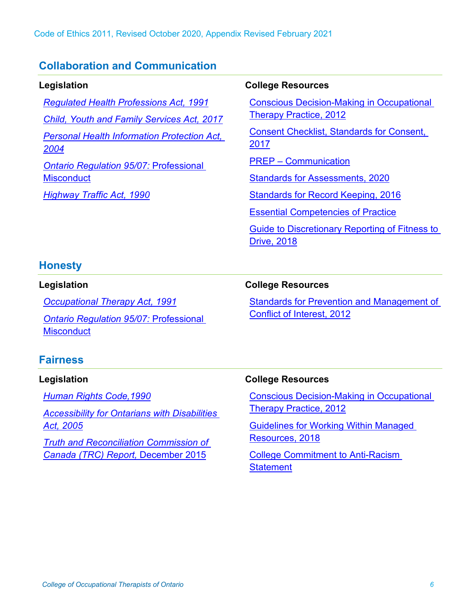#### **Collaboration and Communication**

**Legislation** *[Regulated Health Professions Act, 1991](https://www.ontario.ca/laws/statute/91r18) [Child, Youth and Family Services Act, 2017](https://www.ontario.ca/laws/statute/17c14) [Personal Health Information Protection Act,](https://www.ontario.ca/laws/statute/04p03)  [2004](https://www.ontario.ca/laws/statute/04p03) [Ontario Regulation 95/07:](https://www.ontario.ca/laws/regulation/070095)* Professional **[Misconduct](https://www.ontario.ca/laws/regulation/070095)** *[Highway Traffic Act, 1990](https://www.ontario.ca/laws/statute/90h08)*

#### **College Resources**

[Conscious Decision-Making in Occupational](https://www.coto.org/resources/conscious-decision-making-in-occupational-therapy-practice)  [Therapy Practice, 2012](https://www.coto.org/resources/conscious-decision-making-in-occupational-therapy-practice)

[Consent Checklist, Standards for Consent,](https://www.coto.org/resources/details/standards-for-consent-2017)  [2017](https://www.coto.org/resources/details/standards-for-consent-2017)

PREP – [Communication](https://www.coto.org/docs/default-source/prep-modules/2015-prep-communication.pdf?sfvrsn=2)

[Standards for Assessments, 2020](https://www.coto.org/resources/standards-for-assessments-2020)

[Standards for Record Keeping, 2016](https://www.coto.org/resources/standards-for-record-keeping)

[Essential Competencies of Practice](https://www.coto.org/docs/default-source/essential-competencies/3rd-essential-competencies_ii_may-2011.pdf?sfvrsn=2)

[Guide to Discretionary Reporting of Fitness to](https://www.coto.org/resources/guide-to-discretionary-reporting-of-fitness-to-drive-2018)  [Drive, 2018](https://www.coto.org/resources/guide-to-discretionary-reporting-of-fitness-to-drive-2018)

#### **Honesty**

#### **Legislation**

*[Occupational Therapy Act, 1991](https://www.ontario.ca/laws/statute/91o33)*

*[Ontario Regulation 95/07:](https://www.ontario.ca/laws/regulation/070095)* Professional **[Misconduct](https://www.ontario.ca/laws/regulation/070095)** 

### **College Resources**

[Standards for Prevention and Management of](https://www.coto.org/resources/standards-for-prevention-and-management-of-conflict-of-interest)  [Conflict of Interest, 2012](https://www.coto.org/resources/standards-for-prevention-and-management-of-conflict-of-interest)

#### **Fairness**

#### **Legislation**

*[Human Rights Code,1990](https://www.ontario.ca/laws/statute/90h19)*

*[Accessibility for Ontarians with Disabilities](https://www.ontario.ca/laws/statute/05a11)  [Act, 2005](https://www.ontario.ca/laws/statute/05a11)*

*[Truth and Reconciliation Commission of](http://www.trc.ca/about-us/trc-findings.html)  [Canada \(TRC\) Report,](http://www.trc.ca/about-us/trc-findings.html)* December 2015

#### **College Resources**

[Conscious Decision-Making in Occupational](https://www.coto.org/resources/conscious-decision-making-in-occupational-therapy-practice)  [Therapy Practice, 2012](https://www.coto.org/resources/conscious-decision-making-in-occupational-therapy-practice)

[Guidelines for Working Within Managed](https://www.coto.org/resources/guidelines-for-working-within-managed-resources-2018)  [Resources, 2018](https://www.coto.org/resources/guidelines-for-working-within-managed-resources-2018)

[College Commitment to Anti-Racism](https://www.coto.org/news/college-commitment-to-anti-racism)  **[Statement](https://www.coto.org/news/college-commitment-to-anti-racism)**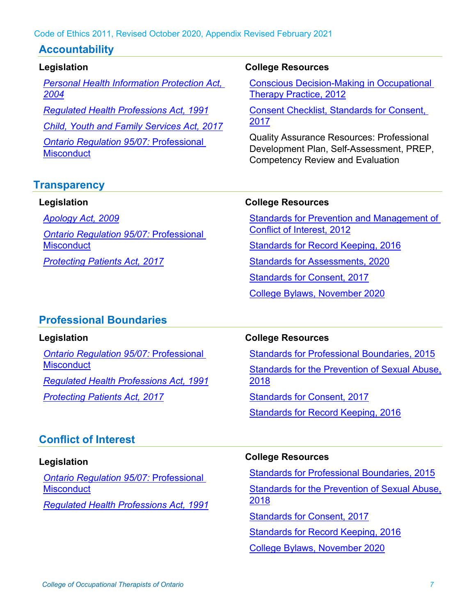#### Code of Ethics 2011, Revised October 2020, Appendix Revised February 2021

#### **Accountability**

#### **Legislation**

*[Personal Health Information Protection Act,](https://www.ontario.ca/laws/statute/04p03)  [2004](https://www.ontario.ca/laws/statute/04p03)*

*[Regulated Health Professions Act, 1991](https://www.ontario.ca/laws/statute/91r18)*

*[Child, Youth and Family Services Act, 2017](https://www.ontario.ca/laws/statute/17c14)*

*[Ontario Regulation 95/07:](https://www.ontario.ca/laws/regulation/070095)* Professional **[Misconduct](https://www.ontario.ca/laws/regulation/070095)** 

#### **College Resources**

[Conscious Decision-Making in Occupational](https://www.coto.org/resources/conscious-decision-making-in-occupational-therapy-practice)  [Therapy Practice, 2012](https://www.coto.org/resources/conscious-decision-making-in-occupational-therapy-practice)

[Consent Checklist, Standards](https://www.coto.org/resources/details/standards-for-consent-2017) for Consent, [2017](https://www.coto.org/resources/details/standards-for-consent-2017)

Quality Assurance Resources: Professional Development Plan, Self-Assessment, PREP, Competency Review and Evaluation

#### **Transparency**

#### **Legislation**

*[Apology Act, 2009](https://www.ontario.ca/laws/statute/09a03)*

*[Ontario Regulation 95/07:](https://www.ontario.ca/laws/regulation/070095)* Professional **[Misconduct](https://www.ontario.ca/laws/regulation/070095)** 

*Protecting [Patients Act, 2017](https://www.ontario.ca/laws/statute/s17011)*

#### **College Resources**

[Standards for Prevention and Management of](https://www.coto.org/resources/standards-for-prevention-and-management-of-conflict-of-interest)  [Conflict of Interest, 2012](https://www.coto.org/resources/standards-for-prevention-and-management-of-conflict-of-interest)

[Standards for Record Keeping, 2016](https://www.coto.org/resources/standards-for-record-keeping)

[Standards for Assessments, 2020](https://www.coto.org/resources/standards-for-assessments-2020)

[Standards for Consent, 2017](https://www.coto.org/resources/details/standards-for-consent-2017)

[College Bylaws, November 2020](https://www.coto.org/docs/default-source/bylaws/bylaws.pdf?sfvrsn=35395359_54)

#### **Professional Boundaries**

#### **Legislation**

*[Ontario Regulation 95/07:](https://www.ontario.ca/laws/regulation/070095)* Professional **[Misconduct](https://www.ontario.ca/laws/regulation/070095)** 

*[Regulated Health Professions Act, 1991](https://www.ontario.ca/laws/statute/91r18)*

*[Protecting Patients Act, 2017](https://www.ontario.ca/laws/statute/s17011)*

#### **College Resources**

[Standards for Professional Boundaries, 2015](https://www.coto.org/resources/standards-for-professional-boundaries) [Standards for the Prevention of Sexual Abuse,](https://www.coto.org/resources/standards-for-the-prevention-of-sexual-abuse-2018)  [2018](https://www.coto.org/resources/standards-for-the-prevention-of-sexual-abuse-2018) [Standards for Consent, 2017](https://www.coto.org/resources/details/standards-for-consent-2017)

[Standards for Record Keeping, 2016](https://www.coto.org/resources/standards-for-record-keeping)

#### **Conflict of Interest**

#### **Legislation**

*[Ontario Regulation 95/07:](https://www.ontario.ca/laws/regulation/070095)* Professional **[Misconduct](https://www.ontario.ca/laws/regulation/070095)** 

*[Regulated Health Professions Act, 1991](https://www.ontario.ca/laws/statute/91r18)*

#### **College Resources**

[Standards for Professional Boundaries, 2015](https://www.coto.org/resources/standards-for-professional-boundaries)

[Standards for the Prevention of Sexual Abuse,](https://www.coto.org/resources/standards-for-the-prevention-of-sexual-abuse-2018)  [2018](https://www.coto.org/resources/standards-for-the-prevention-of-sexual-abuse-2018)

[Standards for Consent, 2017](https://www.coto.org/resources/details/standards-for-consent-2017)

[Standards for Record Keeping, 2016](https://www.coto.org/resources/standards-for-record-keeping)

[College Bylaws, November 2020](https://www.coto.org/docs/default-source/bylaws/bylaws.pdf?sfvrsn=35395359_54)